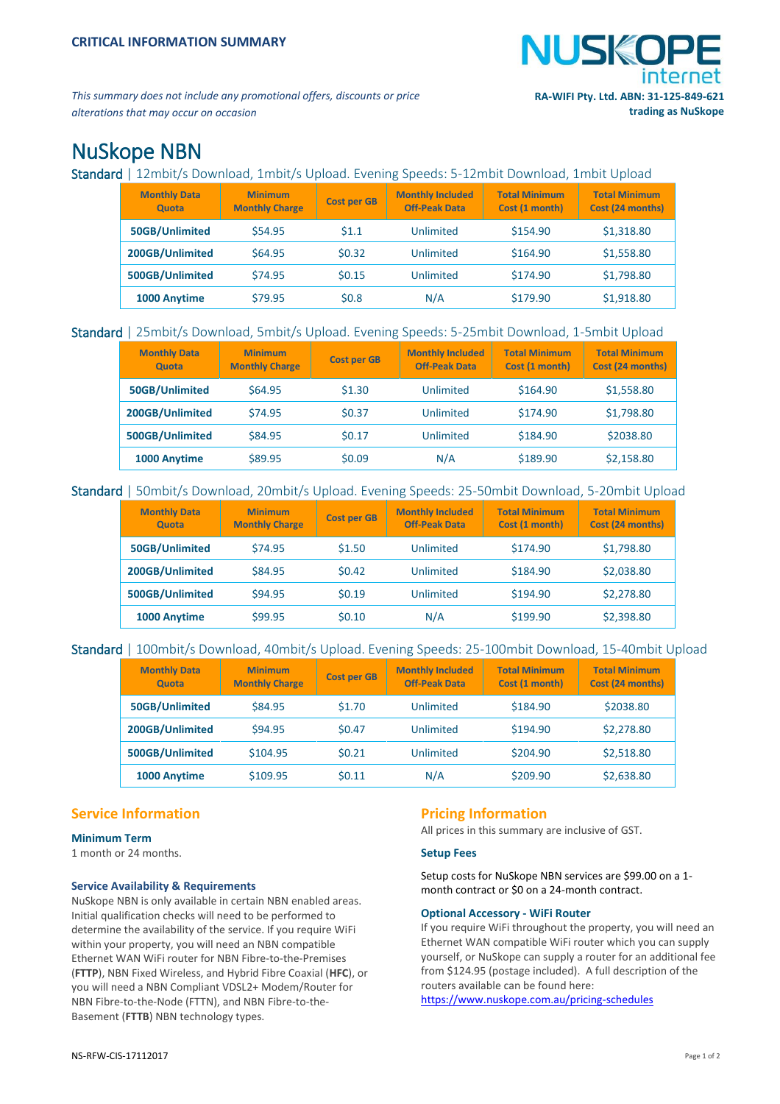

*This summary does not include any promotional offers, discounts or price alterations that may occur on occasion*

# NuSkope NBN

Standard | 12mbit/s Download, 1mbit/s Upload. Evening Speeds: 5-12mbit Download, 1mbit Upload

| <b>Monthly Data</b><br><b>Quota</b> | <b>Minimum</b><br><b>Monthly Charge</b> | <b>Cost per GB</b> | <b>Monthly Included</b><br><b>Off-Peak Data</b> | <b>Total Minimum</b><br>Cost (1 month) | <b>Total Minimum</b><br>Cost (24 months) |
|-------------------------------------|-----------------------------------------|--------------------|-------------------------------------------------|----------------------------------------|------------------------------------------|
| 50GB/Unlimited                      | \$54.95                                 | 51.1               | Unlimited                                       | \$154.90                               | \$1,318.80                               |
| 200GB/Unlimited                     | \$64.95                                 | \$0.32             | Unlimited                                       | \$164.90                               | \$1,558.80                               |
| 500GB/Unlimited                     | \$74.95                                 | \$0.15             | Unlimited                                       | \$174.90                               | \$1,798.80                               |
| 1000 Anytime                        | \$79.95                                 | \$0.8              | N/A                                             | \$179.90                               | \$1,918.80                               |

# Standard | 25mbit/s Download, 5mbit/s Upload. Evening Speeds: 5-25mbit Download, 1-5mbit Upload

| <b>Monthly Data</b><br><b>Quota</b> | <b>Minimum</b><br><b>Monthly Charge</b> | <b>Cost per GB</b> | <b>Monthly Included</b><br><b>Off-Peak Data</b> | <b>Total Minimum</b><br>Cost (1 month) | <b>Total Minimum</b><br>Cost (24 months) |
|-------------------------------------|-----------------------------------------|--------------------|-------------------------------------------------|----------------------------------------|------------------------------------------|
| 50GB/Unlimited                      | \$64.95                                 | \$1.30             | Unlimited                                       | \$164.90                               | \$1,558.80                               |
| 200GB/Unlimited                     | \$74.95                                 | \$0.37             | Unlimited                                       | \$174.90                               | \$1,798.80                               |
| 500GB/Unlimited                     | \$84.95                                 | \$0.17             | Unlimited                                       | \$184.90                               | \$2038.80                                |
| 1000 Anytime                        | \$89.95                                 | \$0.09             | N/A                                             | \$189.90                               | \$2,158.80                               |

# Standard | 50mbit/s Download, 20mbit/s Upload. Evening Speeds: 25-50mbit Download, 5-20mbit Upload

| <b>Monthly Data</b><br>Quota | <b>Minimum</b><br><b>Monthly Charge</b> | <b>Cost per GB</b> | <b>Monthly Included</b><br><b>Off-Peak Data</b> | <b>Total Minimum</b><br>Cost (1 month) | <b>Total Minimum</b><br>Cost (24 months) |
|------------------------------|-----------------------------------------|--------------------|-------------------------------------------------|----------------------------------------|------------------------------------------|
| 50GB/Unlimited               | \$74.95                                 | \$1.50             | Unlimited                                       | \$174.90                               | \$1,798.80                               |
| 200GB/Unlimited              | \$84.95                                 | \$0.42             | Unlimited                                       | \$184.90                               | \$2,038.80                               |
| 500GB/Unlimited              | \$94.95                                 | \$0.19             | Unlimited                                       | \$194.90                               | \$2,278.80                               |
| 1000 Anytime                 | \$99.95                                 | \$0.10             | N/A                                             | \$199.90                               | \$2,398.80                               |

# Standard | 100mbit/s Download, 40mbit/s Upload. Evening Speeds: 25-100mbit Download, 15-40mbit Upload

| <b>Monthly Data</b><br><b>Quota</b> | <b>Minimum</b><br><b>Monthly Charge</b> | <b>Cost per GB</b> | <b>Monthly Included</b><br><b>Off-Peak Data</b> | <b>Total Minimum</b><br>Cost (1 month) | <b>Total Minimum</b><br>Cost (24 months) |
|-------------------------------------|-----------------------------------------|--------------------|-------------------------------------------------|----------------------------------------|------------------------------------------|
| 50GB/Unlimited                      | \$84.95                                 | \$1.70             | Unlimited                                       | \$184.90                               | \$2038.80                                |
| 200GB/Unlimited                     | \$94.95                                 | \$0.47             | Unlimited                                       | \$194.90                               | \$2,278.80                               |
| 500GB/Unlimited                     | \$104.95                                | \$0.21             | Unlimited                                       | \$204.90                               | \$2,518.80                               |
| 1000 Anytime                        | \$109.95                                | \$0.11             | N/A                                             | \$209.90                               | \$2,638.80                               |

# **Service Information**

# **Minimum Term**

1 month or 24 months.

# **Service Availability & Requirements**

NuSkope NBN is only available in certain NBN enabled areas. Initial qualification checks will need to be performed to determine the availability of the service. If you require WiFi within your property, you will need an NBN compatible Ethernet WAN WiFi router for NBN Fibre-to-the-Premises (**FTTP**), NBN Fixed Wireless, and Hybrid Fibre Coaxial (**HFC**), or you will need a NBN Compliant VDSL2+ Modem/Router for NBN Fibre-to-the-Node (FTTN), and NBN Fibre-to-the-Basement (**FTTB**) NBN technology types.

# **Pricing Information**

All prices in this summary are inclusive of GST.

# **Setup Fees**

Setup costs for NuSkope NBN services are \$99.00 on a 1 month contract or \$0 on a 24-month contract.

# **Optional Accessory - WiFi Router**

If you require WiFi throughout the property, you will need an Ethernet WAN compatible WiFi router which you can supply yourself, or NuSkope can supply a router for an additional fee from \$124.95 (postage included). A full description of the routers available can be found here: <https://www.nuskope.com.au/pricing-schedules>